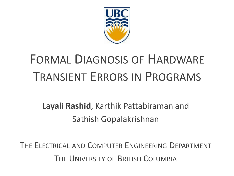

# FORMAL DIAGNOSIS OF HARDWARE TRANSIENT ERRORS IN PROGRAMS

#### **Layali Rashid**, Karthik Pattabiraman and Sathish Gopalakrishnan

THE ELECTRICAL AND COMPUTER ENGINEERING DEPARTMENT THE UNIVERSITY OF BRITISH COLUMBIA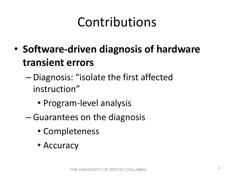# Contributions

- **Software-driven diagnosis of hardware transient errors**
	- Diagnosis: "isolate the first affected instruction"
		- Program-level analysis
	- Guarantees on the diagnosis
		- Completeness
		- Accuracy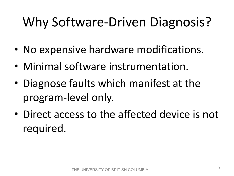# Why Software-Driven Diagnosis?

- No expensive hardware modifications.
- Minimal software instrumentation.
- Diagnose faults which manifest at the program-level only.
- Direct access to the affected device is not required.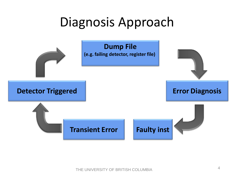#### Diagnosis Approach

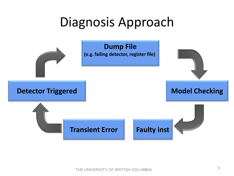#### Diagnosis Approach

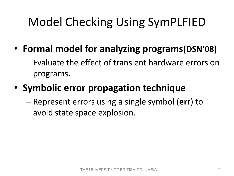## Model Checking Using SymPLFIED

- **Formal model for analyzing programs[DSN'08]**
	- Evaluate the effect of transient hardware errors on programs.
- **Symbolic error propagation technique**
	- Represent errors using a single symbol (**err**) to avoid state space explosion.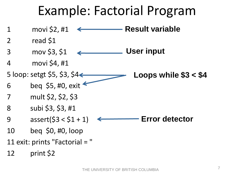#### Example: Factorial Program

1 movi \$2, #1 2 read \$1 3 mov \$3, \$1 4 movi \$4, #1 5 loop: setgt \$5, \$3, \$4 $\leftarrow$ 6 beq \$5, #0, exit 7 mult \$2, \$2, \$3 8 subi \$3, \$3, #1 9  $\text{assert}(53 < 51 + 1)$ 10 beq \$0, #0, loop 11 exit: prints "Factorial = " 12 print \$2 **Result variable User input Loops while \$3 < \$4 Error detector**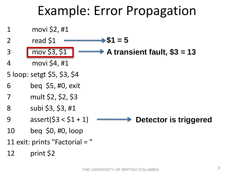## Example: Error Propagation

1 movi \$2, #1 2 read \$1 3 mov \$3, \$1 4 movi \$4, #1 5 loop: setgt \$5, \$3, \$4 6 beq \$5, #0, exit 7 mult \$2, \$2, \$3 8 subi \$3, \$3, #1 9  $\csc{3}$  assert(\$3 < \$1 + 1) 10 beq \$0, #0, loop 11 exit: prints "Factorial = " 12 print \$2  $\rightarrow$  A transient fault, \$3 = 13  $51 = 5$ **Detector is triggered**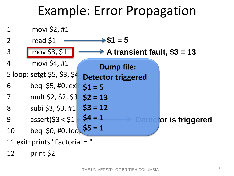#### Example: Error Propagation



12 print \$2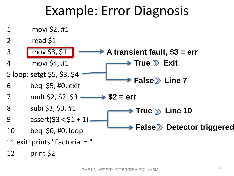#### Example: Error Diagnosis

**False Line 7** 

 $\blacktriangleright$  True  $\gtrsim$  Line 10

**False > Detector triggered** 

- 1 movi \$2, #1
- 2 read \$1
- 3 mov \$3, \$1 4 movi \$4, #1 **A transient fault, \$3 = err → True 2> Exit**
- 5 loop: setgt \$5, \$3, \$4
- 6 beq \$5, #0, exit
- 7 mult \$2, \$2, \$3  $-$ **\$2 = err**
- 8 subi \$3, \$3, #1
- 9  $\text{assert}(53 < 51 + 1)$
- 10 beq \$0, #0, loop
- 11 exit: prints "Factorial = "
- 12 print \$2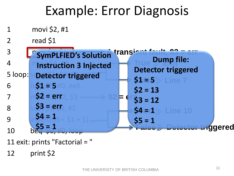# Example: Error Diagnosis

- 1 movi \$2, #1
- 2 read \$1

| $\overline{3}$ | "SymPLFIED's Solution transient fault |                                            |  |
|----------------|---------------------------------------|--------------------------------------------|--|
| $\overline{4}$ | <b>Instruction 3 Injected</b>         | <b>Dump file:</b>                          |  |
| 5 loop:        | <b>Detector triggered</b>             | <b>Detector triggered</b>                  |  |
| 6              | $$1 $5#0, e$ xit                      | $$1 = 5$<br>Line <sup>*</sup><br>$$2 = 13$ |  |
| 7              | $$2 = err$                            | $$3 = 12$<br>E (                           |  |
| 8              | $$3 = err$                            | $54 = 1$<br>Line 10                        |  |
| 9              | $54 = 1$                              | $$5 = 1$                                   |  |
| 10             |                                       | ggered                                     |  |

- 11 exit: prints "Factorial = "
- 12 print \$2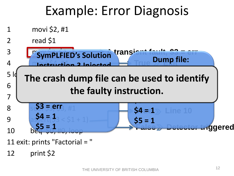# Example: Error Diagnosis

1 movi \$2, #1 2 read \$1 3 **Completed's Solution** transient fault, \$3 = err 4 **Mactruction 2 Injected**  $5\frac{1}{9}$  The crach due 6 between  $\mathbf{5}$ 7 mult  $\overline{2}$ 8 su**\$3 = err**<sub>3</sub>, #1 **9** assert(\$3 < \$1 + 1).  $10$  beq  $50, 40, loop$ 11 exit: prints "Factorial = " 12 print \$2 e used to lde **True Vump II iggered** *x* ....... **SymPLFIED's Solution P** crash dumn fi  $54 = 1$ **\$5 = 1 Dump file: Detector triggered \$1 = 5 The crash dump file can be used to identify \$2 = 13 the faulty instruction.\$3 = 12 \$4 = 1 \$5 = 1**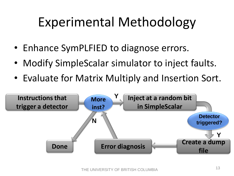# Experimental Methodology

- Enhance SymPLFIED to diagnose errors.
- Modify SimpleScalar simulator to inject faults.
- Evaluate for Matrix Multiply and Insertion Sort.

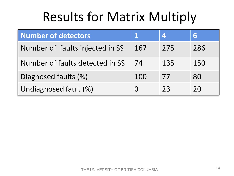# Results for Matrix Multiply

| <b>Number of detectors</b>      |     |     | 6   |
|---------------------------------|-----|-----|-----|
| Number of faults injected in SS | 167 | 275 | 286 |
| Number of faults detected in SS | 74  | 135 | 150 |
| Diagnosed faults (%)            | 100 | 77  | 80  |
| Undiagnosed fault (%)           |     | 23  | 20  |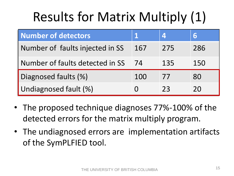# Results for Matrix Multiply (1)

| <b>Number of detectors</b>      |     |     | 6   |
|---------------------------------|-----|-----|-----|
| Number of faults injected in SS | 167 | 275 | 286 |
| Number of faults detected in SS | 74  | 135 | 150 |
| Diagnosed faults (%)            | 100 | 77  | 80  |
| Undiagnosed fault (%)           |     | 23  | 20  |

- The proposed technique diagnoses 77%-100% of the detected errors for the matrix multiply program.
- The undiagnosed errors are implementation artifacts of the SymPLFIED tool.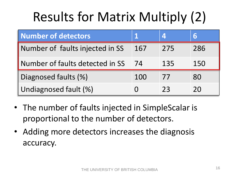# Results for Matrix Multiply (2)

| <b>Number of detectors</b>      |     |     | 6   |
|---------------------------------|-----|-----|-----|
| Number of faults injected in SS | 167 | 275 | 286 |
| Number of faults detected in SS | 74  | 135 | 150 |
| Diagnosed faults (%)            | 100 | 77  | 80  |
| Undiagnosed fault (%)           |     | 73  | 20  |

- The number of faults injected in SimpleScalar is proportional to the number of detectors.
- Adding more detectors increases the diagnosis accuracy.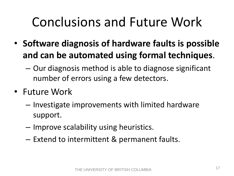# Conclusions and Future Work

- **Software diagnosis of hardware faults is possible and can be automated using formal techniques**.
	- Our diagnosis method is able to diagnose significant number of errors using a few detectors.
- Future Work
	- Investigate improvements with limited hardware support.
	- Improve scalability using heuristics.
	- Extend to intermittent & permanent faults.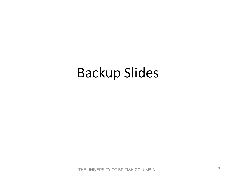## Backup Slides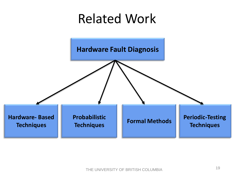# Related Work